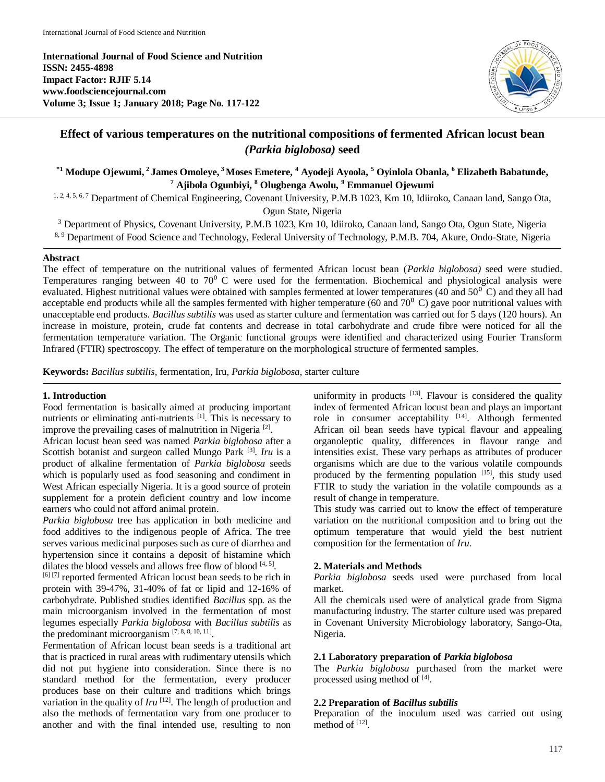**International Journal of Food Science and Nutrition ISSN: 2455-4898 Impact Factor: RJIF 5.14 www.foodsciencejournal.com Volume 3; Issue 1; January 2018; Page No. 117-122**



# **Effect of various temperatures on the nutritional compositions of fermented African locust bean** *(Parkia biglobosa)* **seed**

**\*1 Modupe Ojewumi, <sup>2</sup>James Omoleye, <sup>3</sup>Moses Emetere, <sup>4</sup> Ayodeji Ayoola, <sup>5</sup> Oyinlola Obanla, <sup>6</sup> Elizabeth Babatunde, <sup>7</sup> Ajibola Ogunbiyi, <sup>8</sup> Olugbenga Awolu, <sup>9</sup> Emmanuel Ojewumi**

1, 2, 4, 5, 6, 7 Department of Chemical Engineering, Covenant University, P.M.B 1023, Km 10, Idiiroko, Canaan land, Sango Ota, Ogun State, Nigeria

<sup>3</sup> Department of Physics, Covenant University, P.M.B 1023, Km 10, Idiiroko, Canaan land, Sango Ota, Ogun State, Nigeria

8, 9 Department of Food Science and Technology, Federal University of Technology, P.M.B. 704, Akure, Ondo-State, Nigeria

### **Abstract**

The effect of temperature on the nutritional values of fermented African locust bean (*Parkia biglobosa)* seed were studied. Temperatures ranging between 40 to  $70^{\circ}$  C were used for the fermentation. Biochemical and physiological analysis were evaluated. Highest nutritional values were obtained with samples fermented at lower temperatures (40 and  $50^{\circ}$  C) and they all had acceptable end products while all the samples fermented with higher temperature (60 and  $70^0$  C) gave poor nutritional values with unacceptable end products. *Bacillus subtilis* was used as starter culture and fermentation was carried out for 5 days (120 hours). An increase in moisture, protein, crude fat contents and decrease in total carbohydrate and crude fibre were noticed for all the fermentation temperature variation. The Organic functional groups were identified and characterized using Fourier Transform Infrared (FTIR) spectroscopy. The effect of temperature on the morphological structure of fermented samples.

**Keywords:** *Bacillus subtilis,* fermentation, Iru, *Parkia biglobosa*, starter culture

#### **1. Introduction**

Food fermentation is basically aimed at producing important nutrients or eliminating anti-nutrients [1]. This is necessary to improve the prevailing cases of malnutrition in Nigeria<sup>[2]</sup>.

African locust bean seed was named *Parkia biglobosa* after a Scottish botanist and surgeon called Mungo Park <sup>[3]</sup>. *Iru* is a product of alkaline fermentation of *Parkia biglobosa* seeds which is popularly used as food seasoning and condiment in West African especially Nigeria. It is a good source of protein supplement for a protein deficient country and low income earners who could not afford animal protein.

*Parkia biglobosa* tree has application in both medicine and food additives to the indigenous people of Africa. The tree serves various medicinal purposes such as cure of diarrhea and hypertension since it contains a deposit of histamine which dilates the blood vessels and allows free flow of blood  $[4, 5]$ .

[6] [7] reported fermented African locust bean seeds to be rich in protein with 39-47%, 31-40% of fat or lipid and 12-16% of carbohydrate. Published studies identified *Bacillus* spp*.* as the main microorganism involved in the fermentation of most legumes especially *Parkia biglobosa* with *Bacillus subtilis* as the predominant microorganism  $[7, 8, 8, 10, 11]$ .

Fermentation of African locust bean seeds is a traditional art that is practiced in rural areas with rudimentary utensils which did not put hygiene into consideration. Since there is no standard method for the fermentation, every producer produces base on their culture and traditions which brings variation in the quality of  $Iru$  <sup>[12]</sup>. The length of production and also the methods of fermentation vary from one producer to another and with the final intended use, resulting to non

uniformity in products  $[13]$ . Flavour is considered the quality index of fermented African locust bean and plays an important role in consumer acceptability [14]. Although fermented African oil bean seeds have typical flavour and appealing organoleptic quality, differences in flavour range and intensities exist. These vary perhaps as attributes of producer organisms which are due to the various volatile compounds produced by the fermenting population [15], this study used FTIR to study the variation in the volatile compounds as a result of change in temperature.

This study was carried out to know the effect of temperature variation on the nutritional composition and to bring out the optimum temperature that would yield the best nutrient composition for the fermentation of *Iru*.

## **2. Materials and Methods**

*Parkia biglobosa* seeds used were purchased from local market.

All the chemicals used were of analytical grade from Sigma manufacturing industry. The starter culture used was prepared in Covenant University Microbiology laboratory, Sango-Ota, Nigeria.

## **2.1 Laboratory preparation of** *Parkia biglobosa*

The *Parkia biglobosa* purchased from the market were processed using method of [4].

### **2.2 Preparation of** *Bacillus subtilis*

Preparation of the inoculum used was carried out using method of  $^{[12]}$ .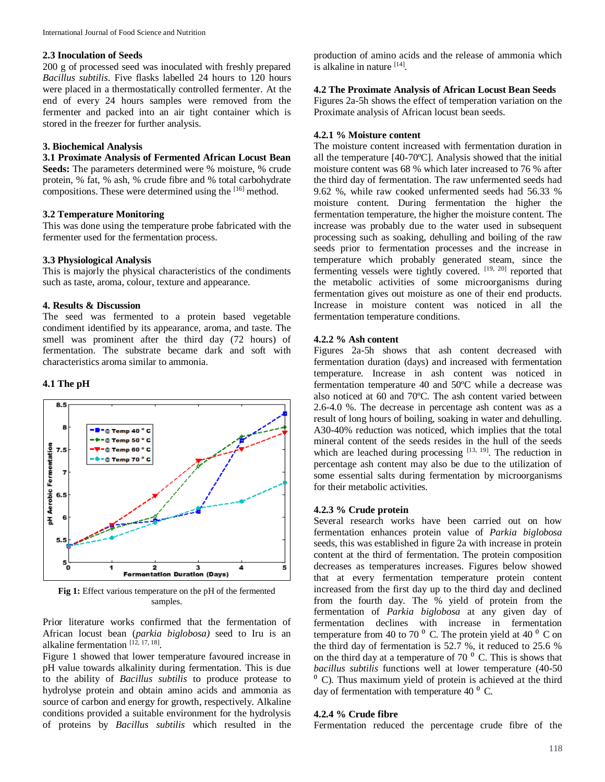## **2.3 Inoculation of Seeds**

200 g of processed seed was inoculated with freshly prepared *Bacillus subtilis*. Five flasks labelled 24 hours to 120 hours were placed in a thermostatically controlled fermenter. At the end of every 24 hours samples were removed from the fermenter and packed into an air tight container which is stored in the freezer for further analysis.

## **3. Biochemical Analysis**

## **3.1 Proximate Analysis of Fermented African Locust Bean**

**Seeds:** The parameters determined were % moisture, % crude protein, % fat, % ash, % crude fibre and % total carbohydrate compositions. These were determined using the [16] method.

#### **3.2 Temperature Monitoring**

This was done using the temperature probe fabricated with the fermenter used for the fermentation process.

#### **3.3 Physiological Analysis**

This is majorly the physical characteristics of the condiments such as taste, aroma, colour, texture and appearance.

### **4. Results & Discussion**

The seed was fermented to a protein based vegetable condiment identified by its appearance, aroma, and taste. The smell was prominent after the third day (72 hours) of fermentation. The substrate became dark and soft with characteristics aroma similar to ammonia.

#### **4.1 The pH**



**Fig 1:** Effect various temperature on the pH of the fermented samples.

Prior literature works confirmed that the fermentation of African locust bean (*parkia biglobosa)* seed to Iru is an alkaline fermentation [12, 17, 18].

Figure 1 showed that lower temperature favoured increase in pH value towards alkalinity during fermentation. This is due to the ability of *Bacillus subtilis* to produce protease to hydrolyse protein and obtain amino acids and ammonia as source of carbon and energy for growth, respectively. Alkaline conditions provided a suitable environment for the hydrolysis of proteins by *Bacillus subtilis* which resulted in the production of amino acids and the release of ammonia which is alkaline in nature [14].

#### **4.2 The Proximate Analysis of African Locust Bean Seeds**

Figures 2a-5h shows the effect of temperation variation on the Proximate analysis of African locust bean seeds.

## **4.2.1 % Moisture content**

The moisture content increased with fermentation duration in all the temperature [40-70ºC]. Analysis showed that the initial moisture content was 68 % which later increased to 76 % after the third day of fermentation. The raw unfermented seeds had 9.62 %, while raw cooked unfermented seeds had 56.33 % moisture content. During fermentation the higher the fermentation temperature, the higher the moisture content. The increase was probably due to the water used in subsequent processing such as soaking, dehulling and boiling of the raw seeds prior to fermentation processes and the increase in temperature which probably generated steam, since the fermenting vessels were tightly covered. [19, 20] reported that the metabolic activities of some microorganisms during fermentation gives out moisture as one of their end products. Increase in moisture content was noticed in all the fermentation temperature conditions.

#### **4.2.2 % Ash content**

Figures 2a-5h shows that ash content decreased with fermentation duration (days) and increased with fermentation temperature. Increase in ash content was noticed in fermentation temperature 40 and 50ºC while a decrease was also noticed at 60 and 70ºC. The ash content varied between 2.6-4.0 %. The decrease in percentage ash content was as a result of long hours of boiling, soaking in water and dehulling. A30-40% reduction was noticed, which implies that the total mineral content of the seeds resides in the hull of the seeds which are leached during processing [13, 19]. The reduction in percentage ash content may also be due to the utilization of some essential salts during fermentation by microorganisms for their metabolic activities.

## **4.2.3 % Crude protein**

Several research works have been carried out on how fermentation enhances protein value of *Parkia biglobosa* seeds, this was established in figure 2a with increase in protein content at the third of fermentation. The protein composition decreases as temperatures increases. Figures below showed that at every fermentation temperature protein content increased from the first day up to the third day and declined from the fourth day. The % yield of protein from the fermentation of *Parkia biglobosa* at any given day of fermentation declines with increase in fermentation temperature from 40 to 70 $^{\circ}$  C. The protein yield at 40 $^{\circ}$  C on the third day of fermentation is 52.7 %, it reduced to 25.6 % on the third day at a temperature of 70 $\degree$  C. This is shows that *bacillus subtilis* functions well at lower temperature (40-50  $<sup>0</sup>$  C). Thus maximum yield of protein is achieved at the third</sup> day of fermentation with temperature 40 $^{\circ}$  C.

#### **4.2.4 % Crude fibre**

Fermentation reduced the percentage crude fibre of the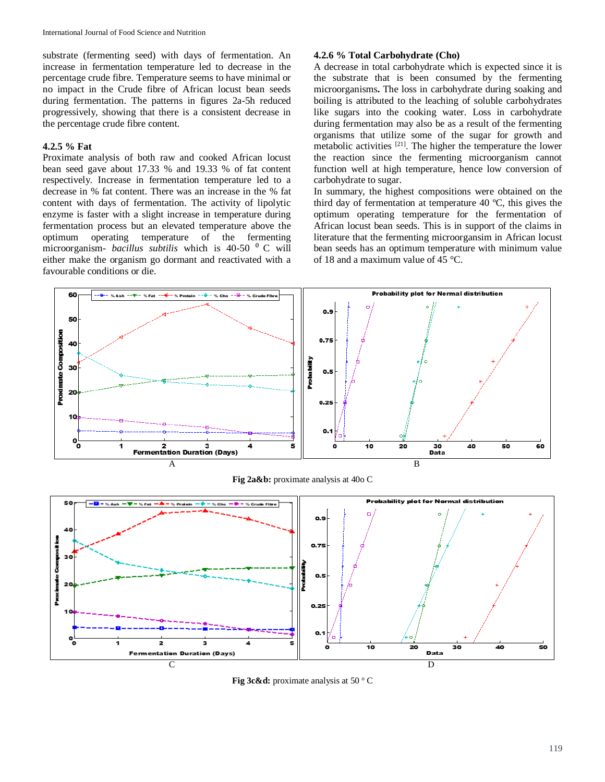substrate (fermenting seed) with days of fermentation. An increase in fermentation temperature led to decrease in the percentage crude fibre. Temperature seems to have minimal or no impact in the Crude fibre of African locust bean seeds during fermentation. The patterns in figures 2a-5h reduced progressively, showing that there is a consistent decrease in the percentage crude fibre content.

## **4.2.5 % Fat**

Proximate analysis of both raw and cooked African locust bean seed gave about 17.33 % and 19.33 % of fat content respectively. Increase in fermentation temperature led to a decrease in % fat content. There was an increase in the % fat content with days of fermentation. The activity of lipolytic enzyme is faster with a slight increase in temperature during fermentation process but an elevated temperature above the optimum operating temperature of the fermenting microorganism- *bacillus subtilis* which is 40-50<sup>°</sup> C will either make the organism go dormant and reactivated with a favourable conditions or die.

## **4.2.6 % Total Carbohydrate (Cho)**

A decrease in total carbohydrate which is expected since it is the substrate that is been consumed by the fermenting microorganisms**.** The loss in carbohydrate during soaking and boiling is attributed to the leaching of soluble carbohydrates like sugars into the cooking water. Loss in carbohydrate during fermentation may also be as a result of the fermenting organisms that utilize some of the sugar for growth and metabolic activities [21]. The higher the temperature the lower the reaction since the fermenting microorganism cannot function well at high temperature, hence low conversion of carbohydrate to sugar.

In summary, the highest compositions were obtained on the third day of fermentation at temperature 40 ºC, this gives the optimum operating temperature for the fermentation of African locust bean seeds. This is in support of the claims in literature that the fermenting microorgansim in African locust bean seeds has an optimum temperature with minimum value of 18 and a maximum value of 45 °C.



**Fig 2a&b:** proximate analysis at 40o C



**Fig 3c&d:** proximate analysis at 50 °C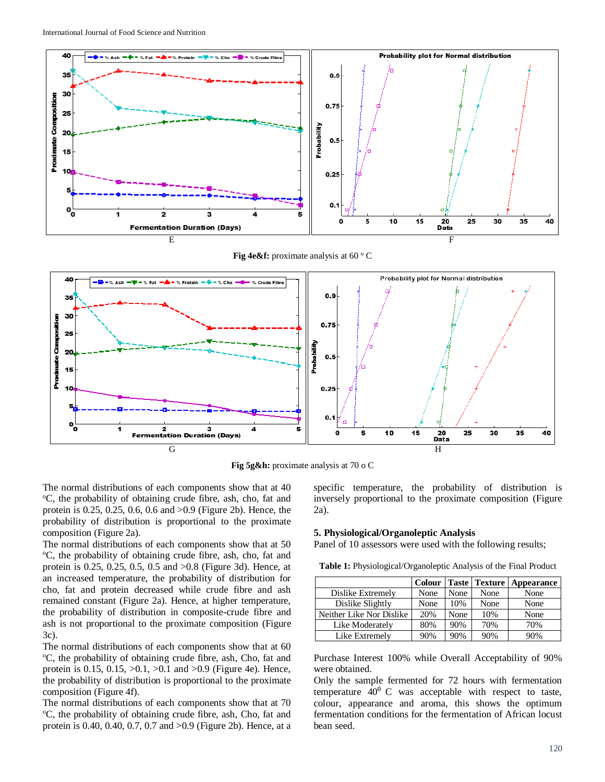

**Fig 4e&f:** proximate analysis at 60 °C



**Fig 5g&h:** proximate analysis at 70 o C

The normal distributions of each components show that at 40 <sup>o</sup>C, the probability of obtaining crude fibre, ash, cho, fat and protein is 0.25, 0.25, 0.6, 0.6 and >0.9 (Figure 2b). Hence, the probability of distribution is proportional to the proximate composition (Figure 2a).

The normal distributions of each components show that at 50 <sup>o</sup>C, the probability of obtaining crude fibre, ash, cho, fat and protein is 0.25, 0.25, 0.5, 0.5 and >0.8 (Figure 3d). Hence, at an increased temperature, the probability of distribution for cho, fat and protein decreased while crude fibre and ash remained constant (Figure 2a). Hence, at higher temperature, the probability of distribution in composite-crude fibre and ash is not proportional to the proximate composition (Figure 3c).

The normal distributions of each components show that at 60 <sup>o</sup>C, the probability of obtaining crude fibre, ash, Cho, fat and protein is 0.15, 0.15,  $>0.1$ ,  $>0.1$  and  $>0.9$  (Figure 4e). Hence, the probability of distribution is proportional to the proximate composition (Figure 4f).

The normal distributions of each components show that at 70 <sup>o</sup>C, the probability of obtaining crude fibre, ash, Cho, fat and protein is 0.40, 0.40, 0.7, 0.7 and >0.9 (Figure 2b). Hence, at a

specific temperature, the probability of distribution is inversely proportional to the proximate composition (Figure 2a).

#### **5. Physiological/Organoleptic Analysis**

Panel of 10 assessors were used with the following results;

**Table 1:** Physiological/Organoleptic Analysis of the Final Product

|                          | <b>Colour</b> |      | <b>Taste Texture</b> | Appearance |
|--------------------------|---------------|------|----------------------|------------|
| Dislike Extremely        | None          | None | None                 | None       |
| Dislike Slightly         | None          | 10%  | None                 | None       |
| Neither Like Nor Dislike | 20%           | None | 10%                  | None       |
| Like Moderately          | 80%           | 90%  | 70%                  | 70%        |
| Like Extremely           | 90%           | 90%  | 90%                  | 90%        |

Purchase Interest 100% while Overall Acceptability of 90% were obtained.

Only the sample fermented for 72 hours with fermentation temperature  $40^{\circ}$  C was acceptable with respect to taste, colour, appearance and aroma, this shows the optimum fermentation conditions for the fermentation of African locust bean seed.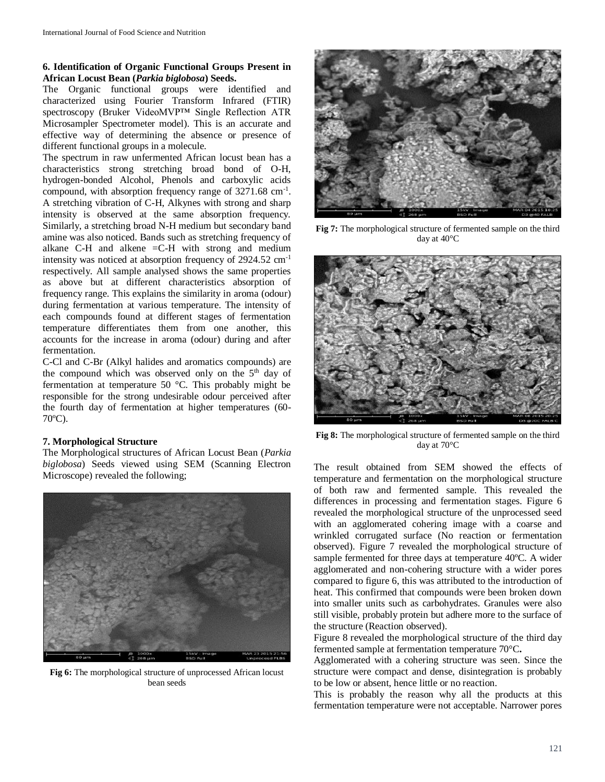## **6. Identification of Organic Functional Groups Present in African Locust Bean (***Parkia biglobosa***) Seeds.**

The Organic functional groups were identified and characterized using Fourier Transform Infrared (FTIR) spectroscopy (Bruker VideoMVP™ Single Reflection ATR Microsampler Spectrometer model). This is an accurate and effective way of determining the absence or presence of different functional groups in a molecule.

The spectrum in raw unfermented African locust bean has a characteristics strong stretching broad bond of O-H, hydrogen-bonded Alcohol, Phenols and carboxylic acids compound, with absorption frequency range of 3271.68 cm-1 . A stretching vibration of C-H, Alkynes with strong and sharp intensity is observed at the same absorption frequency. Similarly, a stretching broad N-H medium but secondary band amine was also noticed. Bands such as stretching frequency of alkane C-H and alkene =C-H with strong and medium intensity was noticed at absorption frequency of 2924.52 cm-1 respectively. All sample analysed shows the same properties as above but at different characteristics absorption of frequency range. This explains the similarity in aroma (odour) during fermentation at various temperature. The intensity of each compounds found at different stages of fermentation temperature differentiates them from one another, this accounts for the increase in aroma (odour) during and after fermentation.

C-Cl and C-Br (Alkyl halides and aromatics compounds) are the compound which was observed only on the  $5<sup>th</sup>$  day of fermentation at temperature 50 °C. This probably might be responsible for the strong undesirable odour perceived after the fourth day of fermentation at higher temperatures (60- 70ºC).

## **7. Morphological Structure**

The Morphological structures of African Locust Bean (*Parkia biglobosa*) Seeds viewed using SEM (Scanning Electron Microscope) revealed the following;



**Fig 6:** The morphological structure of unprocessed African locust bean seeds



**Fig 7:** The morphological structure of fermented sample on the third day at 40°C



**Fig 8:** The morphological structure of fermented sample on the third day at 70°C

The result obtained from SEM showed the effects of temperature and fermentation on the morphological structure of both raw and fermented sample. This revealed the differences in processing and fermentation stages. Figure 6 revealed the morphological structure of the unprocessed seed with an agglomerated cohering image with a coarse and wrinkled corrugated surface (No reaction or fermentation observed). Figure 7 revealed the morphological structure of sample fermented for three days at temperature 40ºC. A wider agglomerated and non-cohering structure with a wider pores compared to figure 6, this was attributed to the introduction of heat. This confirmed that compounds were been broken down into smaller units such as carbohydrates. Granules were also still visible, probably protein but adhere more to the surface of the structure (Reaction observed).

Figure 8 revealed the morphological structure of the third day fermented sample at fermentation temperature 70°C**.**

Agglomerated with a cohering structure was seen. Since the structure were compact and dense, disintegration is probably to be low or absent, hence little or no reaction.

This is probably the reason why all the products at this fermentation temperature were not acceptable. Narrower pores